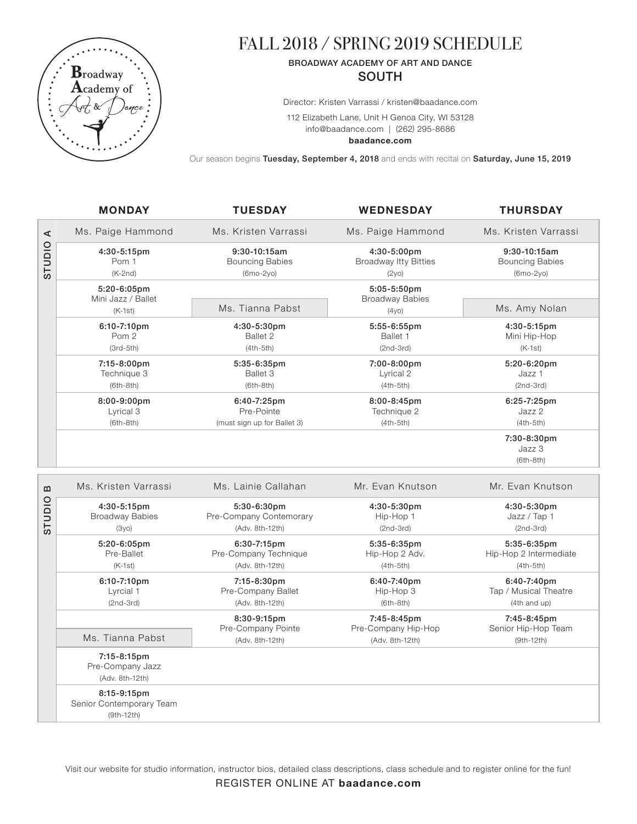

# FALL 2018 / SPRING 2019 SCHEDULE

# BROADWAY ACADEMY OF ART AND DANCE **SOUTH**

Director: Kristen Varrassi / kristen@baadance.com

112 Elizabeth Lane, Unit H Genoa City, WI 53128 info@baadance.com | (262) 295-8686

**baadance.com**

Our season begins Tuesday, September 4, 2018 and ends with recital on Saturday, June 15, 2019

|                     | <b>MONDAY</b>                                         | <b>TUESDAY</b>                                            | <b>WEDNESDAY</b>                                      | <b>THURSDAY</b>                                      |
|---------------------|-------------------------------------------------------|-----------------------------------------------------------|-------------------------------------------------------|------------------------------------------------------|
| ⋖<br>OIDIDS         | Ms. Paige Hammond                                     | Ms. Kristen Varrassi                                      | Ms. Paige Hammond                                     | Ms. Kristen Varrassi                                 |
|                     | 4:30-5:15pm<br>Pom 1<br>$(K-2nd)$                     | 9:30-10:15am<br><b>Bouncing Babies</b><br>(6mo-2yo)       | 4:30-5:00pm<br><b>Broadway Itty Bitties</b><br>(2y0)  | 9:30-10:15am<br><b>Bouncing Babies</b><br>(6mo-2yo)  |
|                     | 5:20-6:05pm                                           |                                                           | 5:05-5:50pm                                           |                                                      |
|                     | Mini Jazz / Ballet<br>$(K-1st)$                       | Ms. Tianna Pabst                                          | <b>Broadway Babies</b><br>(4y0)                       | Ms. Amy Nolan                                        |
|                     | 6:10-7:10pm<br>Pom 2<br>$(3rd-5th)$                   | 4:30-5:30pm<br>Ballet 2<br>$(4th-5th)$                    | 5:55-6:55pm<br>Ballet 1<br>$(2nd-3rd)$                | 4:30-5:15pm<br>Mini Hip-Hop<br>$(K-1st)$             |
|                     | 7:15-8:00pm<br>Technique 3<br>$(6th-8th)$             | 5:35-6:35pm<br>Ballet 3<br>$(6th-8th)$                    | 7:00-8:00pm<br>Lyrical 2<br>$(4th-5th)$               | 5:20-6:20pm<br>Jazz 1<br>$(2nd-3rd)$                 |
|                     | 8:00-9:00pm<br>Lyrical 3<br>$(6th-8th)$               | 6:40-7:25pm<br>Pre-Pointe<br>(must sign up for Ballet 3)  | 8:00-8:45pm<br>Technique 2<br>$(4th-5th)$             | 6:25-7:25pm<br>Jazz 2<br>$(4th-5th)$                 |
|                     |                                                       |                                                           |                                                       | 7:30-8:30pm<br>Jazz 3<br>$(6th-8th)$                 |
| B<br><b>OIDIDIS</b> | Ms. Kristen Varrassi                                  | Ms. Lainie Callahan                                       | Mr. Evan Knutson                                      | Mr. Evan Knutson                                     |
|                     | 4:30-5:15pm<br><b>Broadway Babies</b><br>(3y0)        | 5:30-6:30pm<br>Pre-Company Contemorary<br>(Adv. 8th-12th) | 4:30-5:30pm<br>Hip-Hop 1<br>$(2nd-3rd)$               | 4:30-5:30pm<br>Jazz / Tap 1<br>$(2nd-3rd)$           |
|                     | 5:20-6:05pm<br>Pre-Ballet<br>$(K-1st)$                | 6:30-7:15pm<br>Pre-Company Technique<br>(Adv. 8th-12th)   | 5:35-6:35pm<br>Hip-Hop 2 Adv.<br>$(4th-5th)$          | 5:35-6:35pm<br>Hip-Hop 2 Intermediate<br>$(4th-5th)$ |
|                     | 6:10-7:10pm<br>Lyrcial 1<br>$(2nd-3rd)$               | 7:15-8:30pm<br>Pre-Company Ballet<br>(Adv. 8th-12th)      | 6:40-7:40pm<br>Hip-Hop 3<br>$(6th-8th)$               | 6:40-7:40pm<br>Tap / Musical Theatre<br>(4th and up) |
|                     | Ms. Tianna Pabst                                      | 8:30-9:15pm<br>Pre-Company Pointe<br>(Adv. 8th-12th)      | 7:45-8:45pm<br>Pre-Company Hip-Hop<br>(Adv. 8th-12th) | 7:45-8:45pm<br>Senior Hip-Hop Team<br>$(9th-12th)$   |
|                     | 7:15-8:15pm<br>Pre-Company Jazz<br>(Adv. 8th-12th)    |                                                           |                                                       |                                                      |
|                     | 8:15-9:15pm<br>Senior Contemporary Team<br>(9th-12th) |                                                           |                                                       |                                                      |

Visit our website for studio information, instructor bios, detailed class descriptions, class schedule and to register online for the fun!